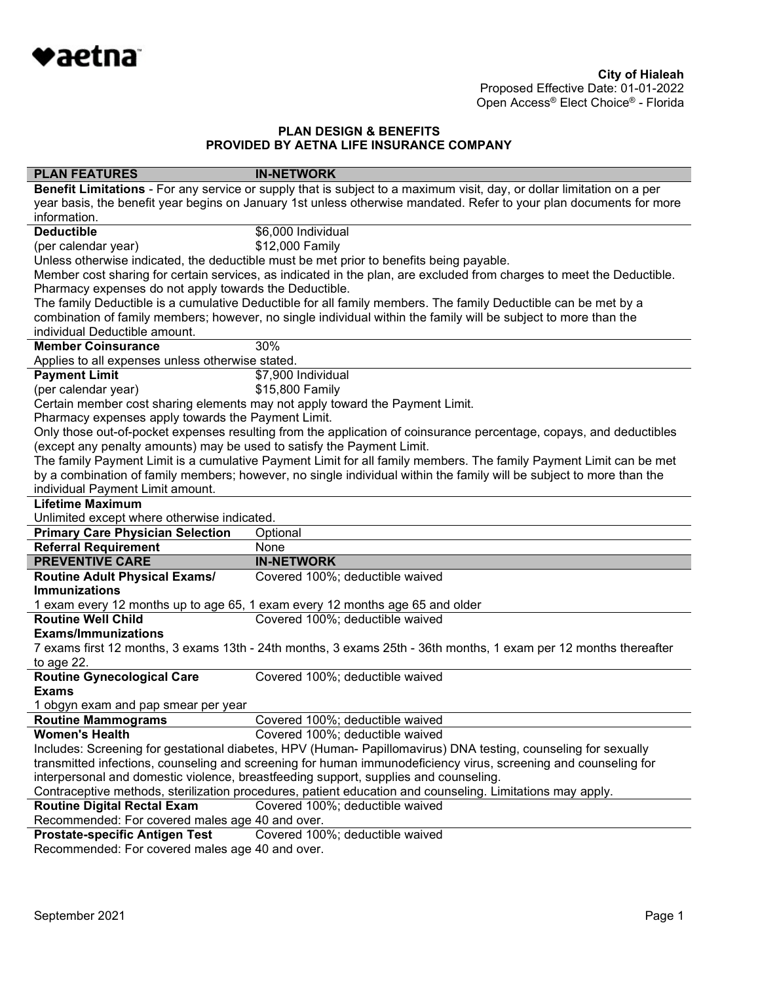

| <b>PLAN FEATURES</b>                                                                                                | <b>IN-NETWORK</b>                                                                                                      |  |
|---------------------------------------------------------------------------------------------------------------------|------------------------------------------------------------------------------------------------------------------------|--|
|                                                                                                                     | Benefit Limitations - For any service or supply that is subject to a maximum visit, day, or dollar limitation on a per |  |
| year basis, the benefit year begins on January 1st unless otherwise mandated. Refer to your plan documents for more |                                                                                                                        |  |
| information.                                                                                                        |                                                                                                                        |  |
| <b>Deductible</b>                                                                                                   | \$6,000 Individual                                                                                                     |  |
| (per calendar year)                                                                                                 | \$12,000 Family                                                                                                        |  |
| Unless otherwise indicated, the deductible must be met prior to benefits being payable.                             |                                                                                                                        |  |
|                                                                                                                     | Member cost sharing for certain services, as indicated in the plan, are excluded from charges to meet the Deductible.  |  |
| Pharmacy expenses do not apply towards the Deductible.                                                              |                                                                                                                        |  |
|                                                                                                                     | The family Deductible is a cumulative Deductible for all family members. The family Deductible can be met by a         |  |
|                                                                                                                     | combination of family members; however, no single individual within the family will be subject to more than the        |  |
| individual Deductible amount.                                                                                       |                                                                                                                        |  |
| <b>Member Coinsurance</b>                                                                                           | 30%                                                                                                                    |  |
| Applies to all expenses unless otherwise stated.                                                                    |                                                                                                                        |  |
| <b>Payment Limit</b>                                                                                                | \$7,900 Individual                                                                                                     |  |
| (per calendar year)                                                                                                 | \$15,800 Family                                                                                                        |  |
|                                                                                                                     | Certain member cost sharing elements may not apply toward the Payment Limit.                                           |  |
| Pharmacy expenses apply towards the Payment Limit.                                                                  |                                                                                                                        |  |
|                                                                                                                     | Only those out-of-pocket expenses resulting from the application of coinsurance percentage, copays, and deductibles    |  |
| (except any penalty amounts) may be used to satisfy the Payment Limit.                                              |                                                                                                                        |  |
|                                                                                                                     | The family Payment Limit is a cumulative Payment Limit for all family members. The family Payment Limit can be met     |  |
|                                                                                                                     | by a combination of family members; however, no single individual within the family will be subject to more than the   |  |
| individual Payment Limit amount.                                                                                    |                                                                                                                        |  |
| <b>Lifetime Maximum</b>                                                                                             |                                                                                                                        |  |
| Unlimited except where otherwise indicated.                                                                         |                                                                                                                        |  |
| <b>Primary Care Physician Selection</b>                                                                             | Optional                                                                                                               |  |
| <b>Referral Requirement</b>                                                                                         | None                                                                                                                   |  |
| <b>PREVENTIVE CARE</b>                                                                                              | <b>IN-NETWORK</b>                                                                                                      |  |
| <b>Routine Adult Physical Exams/</b>                                                                                | Covered 100%; deductible waived                                                                                        |  |
| <b>Immunizations</b>                                                                                                |                                                                                                                        |  |
|                                                                                                                     | 1 exam every 12 months up to age 65, 1 exam every 12 months age 65 and older                                           |  |
| <b>Routine Well Child</b>                                                                                           | Covered 100%; deductible waived                                                                                        |  |
| <b>Exams/Immunizations</b>                                                                                          |                                                                                                                        |  |
|                                                                                                                     | 7 exams first 12 months, 3 exams 13th - 24th months, 3 exams 25th - 36th months, 1 exam per 12 months thereafter       |  |
| to age 22.                                                                                                          |                                                                                                                        |  |
| <b>Routine Gynecological Care</b>                                                                                   | Covered 100%; deductible waived                                                                                        |  |
| <b>Exams</b>                                                                                                        |                                                                                                                        |  |
| 1 obgyn exam and pap smear per year                                                                                 |                                                                                                                        |  |
| <b>Routine Mammograms</b>                                                                                           | Covered 100%; deductible waived                                                                                        |  |
| <b>Women's Health</b>                                                                                               | Covered 100%; deductible waived                                                                                        |  |
|                                                                                                                     | Includes: Screening for gestational diabetes, HPV (Human- Papillomavirus) DNA testing, counseling for sexually         |  |
| transmitted infections, counseling and screening for human immunodeficiency virus, screening and counseling for     |                                                                                                                        |  |
|                                                                                                                     | interpersonal and domestic violence, breastfeeding support, supplies and counseling.                                   |  |
|                                                                                                                     | Contraceptive methods, sterilization procedures, patient education and counseling. Limitations may apply.              |  |
| <b>Routine Digital Rectal Exam</b>                                                                                  | Covered 100%; deductible waived                                                                                        |  |
| Recommended: For covered males age 40 and over.                                                                     |                                                                                                                        |  |
| <b>Prostate-specific Antigen Test</b>                                                                               | Covered 100%; deductible waived                                                                                        |  |

Recommended: For covered males age 40 and over.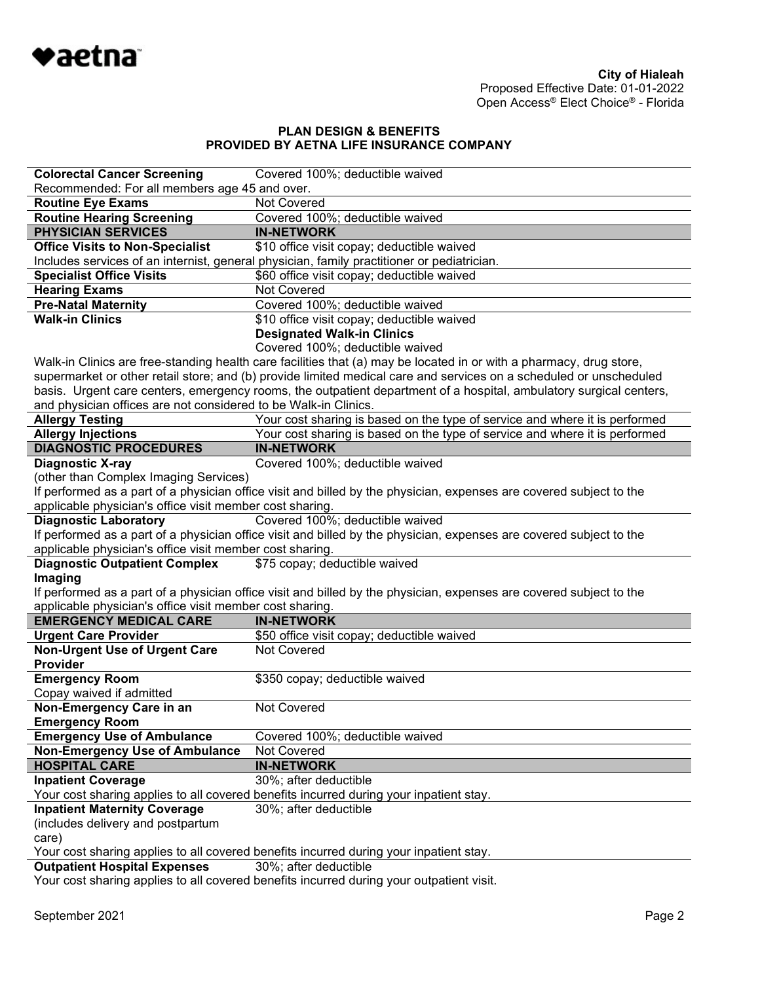

| <b>Colorectal Cancer Screening</b>                                                     | Covered 100%; deductible waived                                                                                     |  |
|----------------------------------------------------------------------------------------|---------------------------------------------------------------------------------------------------------------------|--|
| Recommended: For all members age 45 and over.                                          |                                                                                                                     |  |
| <b>Routine Eye Exams</b>                                                               | <b>Not Covered</b>                                                                                                  |  |
| <b>Routine Hearing Screening</b>                                                       | Covered 100%; deductible waived                                                                                     |  |
| <b>PHYSICIAN SERVICES</b>                                                              | <b>IN-NETWORK</b>                                                                                                   |  |
| <b>Office Visits to Non-Specialist</b>                                                 | \$10 office visit copay; deductible waived                                                                          |  |
|                                                                                        | Includes services of an internist, general physician, family practitioner or pediatrician.                          |  |
| <b>Specialist Office Visits</b>                                                        | \$60 office visit copay; deductible waived                                                                          |  |
| <b>Hearing Exams</b>                                                                   | Not Covered                                                                                                         |  |
| <b>Pre-Natal Maternity</b>                                                             | Covered 100%; deductible waived                                                                                     |  |
| <b>Walk-in Clinics</b>                                                                 | \$10 office visit copay; deductible waived                                                                          |  |
|                                                                                        | <b>Designated Walk-in Clinics</b>                                                                                   |  |
|                                                                                        | Covered 100%; deductible waived                                                                                     |  |
|                                                                                        | Walk-in Clinics are free-standing health care facilities that (a) may be located in or with a pharmacy, drug store, |  |
|                                                                                        | supermarket or other retail store; and (b) provide limited medical care and services on a scheduled or unscheduled  |  |
|                                                                                        | basis. Urgent care centers, emergency rooms, the outpatient department of a hospital, ambulatory surgical centers,  |  |
| and physician offices are not considered to be Walk-in Clinics.                        |                                                                                                                     |  |
| <b>Allergy Testing</b>                                                                 | Your cost sharing is based on the type of service and where it is performed                                         |  |
| <b>Allergy Injections</b>                                                              | Your cost sharing is based on the type of service and where it is performed                                         |  |
| <b>DIAGNOSTIC PROCEDURES</b>                                                           | <b>IN-NETWORK</b>                                                                                                   |  |
| <b>Diagnostic X-ray</b>                                                                | Covered 100%; deductible waived                                                                                     |  |
| (other than Complex Imaging Services)                                                  |                                                                                                                     |  |
|                                                                                        | If performed as a part of a physician office visit and billed by the physician, expenses are covered subject to the |  |
| applicable physician's office visit member cost sharing.                               |                                                                                                                     |  |
| <b>Diagnostic Laboratory</b>                                                           | Covered 100%; deductible waived                                                                                     |  |
|                                                                                        | If performed as a part of a physician office visit and billed by the physician, expenses are covered subject to the |  |
| applicable physician's office visit member cost sharing.                               |                                                                                                                     |  |
| <b>Diagnostic Outpatient Complex</b>                                                   | \$75 copay; deductible waived                                                                                       |  |
| Imaging                                                                                | If performed as a part of a physician office visit and billed by the physician, expenses are covered subject to the |  |
| applicable physician's office visit member cost sharing.                               |                                                                                                                     |  |
| <b>EMERGENCY MEDICAL CARE</b>                                                          | <b>IN-NETWORK</b>                                                                                                   |  |
| <b>Urgent Care Provider</b>                                                            | \$50 office visit copay; deductible waived                                                                          |  |
| <b>Non-Urgent Use of Urgent Care</b>                                                   | Not Covered                                                                                                         |  |
| Provider                                                                               |                                                                                                                     |  |
| <b>Emergency Room</b>                                                                  | \$350 copay; deductible waived                                                                                      |  |
| Copay waived if admitted                                                               |                                                                                                                     |  |
| Non-Emergency Care in an                                                               | <b>Not Covered</b>                                                                                                  |  |
| <b>Emergency Room</b>                                                                  |                                                                                                                     |  |
| <b>Emergency Use of Ambulance</b>                                                      | Covered 100%; deductible waived                                                                                     |  |
| Non-Emergency Use of Ambulance                                                         | <b>Not Covered</b>                                                                                                  |  |
| <b>HOSPITAL CARE</b>                                                                   | <b>IN-NETWORK</b>                                                                                                   |  |
| <b>Inpatient Coverage</b>                                                              | 30%; after deductible                                                                                               |  |
|                                                                                        | Your cost sharing applies to all covered benefits incurred during your inpatient stay.                              |  |
| <b>Inpatient Maternity Coverage</b>                                                    | 30%; after deductible                                                                                               |  |
| (includes delivery and postpartum                                                      |                                                                                                                     |  |
| care)                                                                                  |                                                                                                                     |  |
| Your cost sharing applies to all covered benefits incurred during your inpatient stay. |                                                                                                                     |  |
| <b>Outpatient Hospital Expenses</b>                                                    | 30%; after deductible                                                                                               |  |
|                                                                                        | Your cost sharing applies to all covered benefits incurred during your outpatient visit.                            |  |
|                                                                                        |                                                                                                                     |  |
|                                                                                        |                                                                                                                     |  |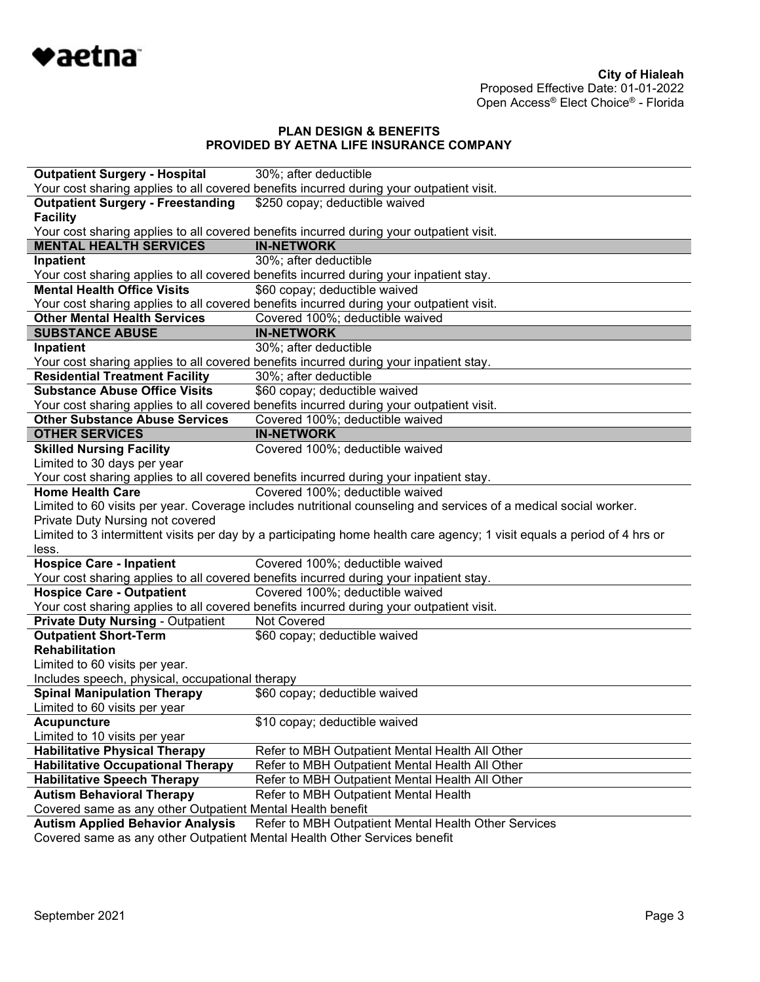

| <b>Outpatient Surgery - Hospital</b>                                                                  | 30%; after deductible                                                                                                    |
|-------------------------------------------------------------------------------------------------------|--------------------------------------------------------------------------------------------------------------------------|
|                                                                                                       | Your cost sharing applies to all covered benefits incurred during your outpatient visit.                                 |
| <b>Outpatient Surgery - Freestanding</b>                                                              | \$250 copay; deductible waived                                                                                           |
| <b>Facility</b>                                                                                       |                                                                                                                          |
|                                                                                                       | Your cost sharing applies to all covered benefits incurred during your outpatient visit.                                 |
| <b>MENTAL HEALTH SERVICES</b>                                                                         | <b>IN-NETWORK</b>                                                                                                        |
| Inpatient                                                                                             | 30%; after deductible                                                                                                    |
|                                                                                                       | Your cost sharing applies to all covered benefits incurred during your inpatient stay.                                   |
| <b>Mental Health Office Visits</b>                                                                    | \$60 copay; deductible waived                                                                                            |
|                                                                                                       | Your cost sharing applies to all covered benefits incurred during your outpatient visit.                                 |
| <b>Other Mental Health Services</b>                                                                   | Covered 100%; deductible waived                                                                                          |
| <b>SUBSTANCE ABUSE</b>                                                                                | <b>IN-NETWORK</b>                                                                                                        |
| Inpatient                                                                                             | 30%; after deductible                                                                                                    |
|                                                                                                       | Your cost sharing applies to all covered benefits incurred during your inpatient stay.                                   |
| <b>Residential Treatment Facility</b>                                                                 | 30%; after deductible                                                                                                    |
| <b>Substance Abuse Office Visits</b>                                                                  | \$60 copay; deductible waived                                                                                            |
|                                                                                                       | Your cost sharing applies to all covered benefits incurred during your outpatient visit.                                 |
| <b>Other Substance Abuse Services</b>                                                                 | Covered 100%; deductible waived                                                                                          |
| <b>OTHER SERVICES</b>                                                                                 | <b>IN-NETWORK</b>                                                                                                        |
| <b>Skilled Nursing Facility</b>                                                                       | Covered 100%; deductible waived                                                                                          |
| Limited to 30 days per year                                                                           |                                                                                                                          |
|                                                                                                       | Your cost sharing applies to all covered benefits incurred during your inpatient stay.                                   |
| <b>Home Health Care</b>                                                                               | Covered 100%; deductible waived                                                                                          |
|                                                                                                       | Limited to 60 visits per year. Coverage includes nutritional counseling and services of a medical social worker.         |
| Private Duty Nursing not covered                                                                      |                                                                                                                          |
|                                                                                                       | Limited to 3 intermittent visits per day by a participating home health care agency; 1 visit equals a period of 4 hrs or |
| less.                                                                                                 |                                                                                                                          |
| <b>Hospice Care - Inpatient</b>                                                                       | Covered 100%; deductible waived                                                                                          |
|                                                                                                       | Your cost sharing applies to all covered benefits incurred during your inpatient stay.                                   |
| <b>Hospice Care - Outpatient</b>                                                                      | Covered 100%; deductible waived                                                                                          |
|                                                                                                       | Your cost sharing applies to all covered benefits incurred during your outpatient visit.<br><b>Not Covered</b>           |
| <b>Private Duty Nursing - Outpatient</b>                                                              |                                                                                                                          |
| <b>Outpatient Short-Term</b><br><b>Rehabilitation</b>                                                 | \$60 copay; deductible waived                                                                                            |
| Limited to 60 visits per year.                                                                        |                                                                                                                          |
|                                                                                                       |                                                                                                                          |
| Includes speech, physical, occupational therapy<br><b>Spinal Manipulation Therapy</b>                 | \$60 copay; deductible waived                                                                                            |
| Limited to 60 visits per year                                                                         |                                                                                                                          |
| <b>Acupuncture</b>                                                                                    | \$10 copay; deductible waived                                                                                            |
| Limited to 10 visits per year                                                                         |                                                                                                                          |
| <b>Habilitative Physical Therapy</b>                                                                  |                                                                                                                          |
|                                                                                                       |                                                                                                                          |
|                                                                                                       | Refer to MBH Outpatient Mental Health All Other                                                                          |
| <b>Habilitative Occupational Therapy</b>                                                              | Refer to MBH Outpatient Mental Health All Other                                                                          |
| <b>Habilitative Speech Therapy</b>                                                                    | Refer to MBH Outpatient Mental Health All Other                                                                          |
| <b>Autism Behavioral Therapy</b>                                                                      | Refer to MBH Outpatient Mental Health                                                                                    |
| Covered same as any other Outpatient Mental Health benefit<br><b>Autism Applied Behavior Analysis</b> | Refer to MBH Outpatient Mental Health Other Services                                                                     |
|                                                                                                       |                                                                                                                          |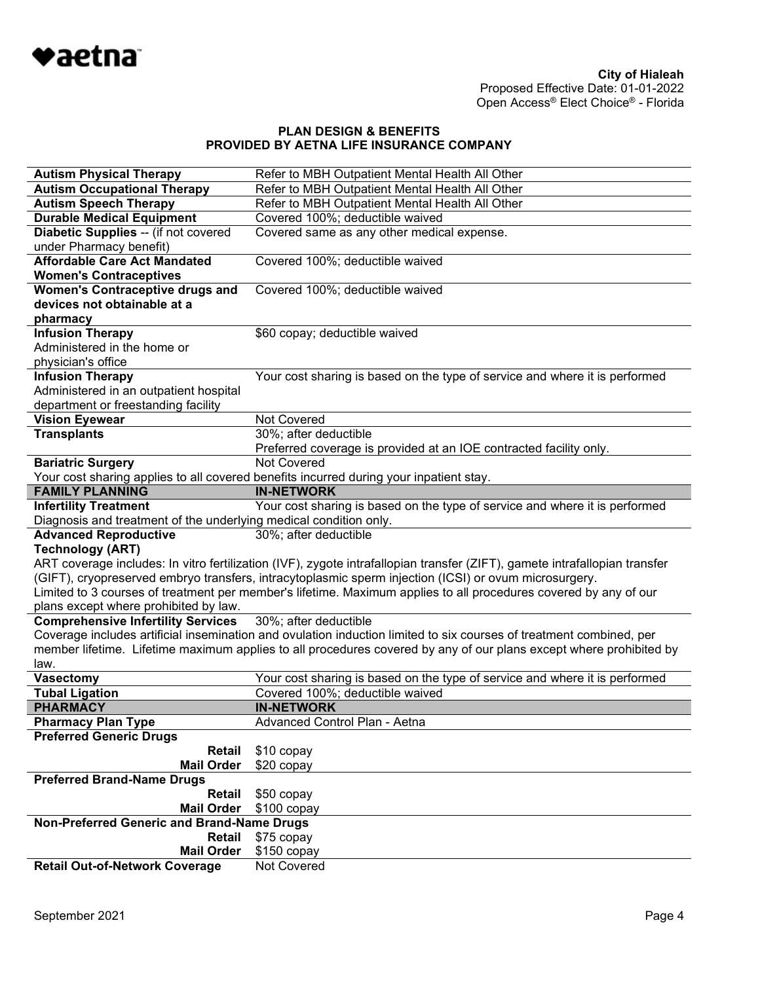

| <b>Autism Physical Therapy</b>                                    | Refer to MBH Outpatient Mental Health All Other                                                                            |  |
|-------------------------------------------------------------------|----------------------------------------------------------------------------------------------------------------------------|--|
| <b>Autism Occupational Therapy</b>                                | Refer to MBH Outpatient Mental Health All Other                                                                            |  |
| <b>Autism Speech Therapy</b>                                      | Refer to MBH Outpatient Mental Health All Other                                                                            |  |
| <b>Durable Medical Equipment</b>                                  | Covered 100%; deductible waived                                                                                            |  |
| Diabetic Supplies -- (if not covered                              | Covered same as any other medical expense.                                                                                 |  |
| under Pharmacy benefit)                                           |                                                                                                                            |  |
| <b>Affordable Care Act Mandated</b>                               | Covered 100%; deductible waived                                                                                            |  |
| <b>Women's Contraceptives</b>                                     |                                                                                                                            |  |
| <b>Women's Contraceptive drugs and</b>                            | Covered 100%; deductible waived                                                                                            |  |
| devices not obtainable at a                                       |                                                                                                                            |  |
| pharmacy                                                          |                                                                                                                            |  |
| <b>Infusion Therapy</b>                                           | \$60 copay; deductible waived                                                                                              |  |
| Administered in the home or                                       |                                                                                                                            |  |
| physician's office                                                |                                                                                                                            |  |
| <b>Infusion Therapy</b>                                           | Your cost sharing is based on the type of service and where it is performed                                                |  |
| Administered in an outpatient hospital                            |                                                                                                                            |  |
| department or freestanding facility                               |                                                                                                                            |  |
| <b>Vision Eyewear</b>                                             | Not Covered                                                                                                                |  |
| <b>Transplants</b>                                                | 30%; after deductible                                                                                                      |  |
|                                                                   | Preferred coverage is provided at an IOE contracted facility only.                                                         |  |
| <b>Bariatric Surgery</b>                                          | <b>Not Covered</b>                                                                                                         |  |
|                                                                   | Your cost sharing applies to all covered benefits incurred during your inpatient stay.                                     |  |
| <b>FAMILY PLANNING</b>                                            | <b>IN-NETWORK</b>                                                                                                          |  |
| <b>Infertility Treatment</b>                                      | Your cost sharing is based on the type of service and where it is performed                                                |  |
| Diagnosis and treatment of the underlying medical condition only. |                                                                                                                            |  |
| <b>Advanced Reproductive</b>                                      | 30%; after deductible                                                                                                      |  |
| <b>Technology (ART)</b>                                           |                                                                                                                            |  |
|                                                                   | ART coverage includes: In vitro fertilization (IVF), zygote intrafallopian transfer (ZIFT), gamete intrafallopian transfer |  |
|                                                                   | (GIFT), cryopreserved embryo transfers, intracytoplasmic sperm injection (ICSI) or ovum microsurgery.                      |  |
|                                                                   | Limited to 3 courses of treatment per member's lifetime. Maximum applies to all procedures covered by any of our           |  |
| plans except where prohibited by law.                             |                                                                                                                            |  |
| <b>Comprehensive Infertility Services</b>                         | 30%; after deductible                                                                                                      |  |
|                                                                   | Coverage includes artificial insemination and ovulation induction limited to six courses of treatment combined, per        |  |
|                                                                   | member lifetime. Lifetime maximum applies to all procedures covered by any of our plans except where prohibited by         |  |
| law.                                                              |                                                                                                                            |  |
| <b>Vasectomy</b>                                                  | Your cost sharing is based on the type of service and where it is performed                                                |  |
| <b>Tubal Ligation</b>                                             | Covered 100%; deductible waived                                                                                            |  |
| <b>PHARMACY</b>                                                   | <b>IN-NETWORK</b>                                                                                                          |  |
| <b>Pharmacy Plan Type</b>                                         | Advanced Control Plan - Aetna                                                                                              |  |
| <b>Preferred Generic Drugs</b>                                    |                                                                                                                            |  |
| Retail                                                            | \$10 copay                                                                                                                 |  |
| <b>Mail Order</b>                                                 | \$20 copay                                                                                                                 |  |
| <b>Preferred Brand-Name Drugs</b>                                 |                                                                                                                            |  |
| <b>Retail</b>                                                     | \$50 copay                                                                                                                 |  |
| <b>Mail Order</b>                                                 | $$100$ copay                                                                                                               |  |
| Non-Preferred Generic and Brand-Name Drugs                        |                                                                                                                            |  |
| Retail                                                            | \$75 copay                                                                                                                 |  |
| <b>Mail Order</b>                                                 | $$150$ copay                                                                                                               |  |
| <b>Retail Out-of-Network Coverage</b>                             | Not Covered                                                                                                                |  |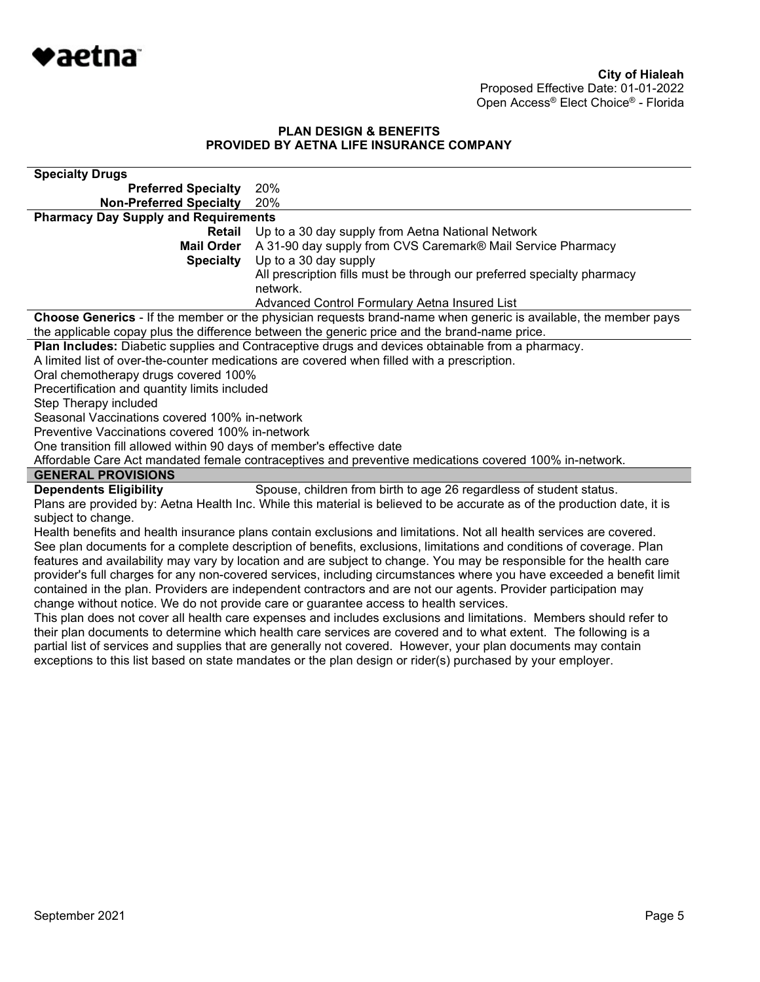

| <b>Specialty Drugs</b>                                                |                                                                                                                                                                                                                                          |
|-----------------------------------------------------------------------|------------------------------------------------------------------------------------------------------------------------------------------------------------------------------------------------------------------------------------------|
| <b>Preferred Specialty</b>                                            | 20%                                                                                                                                                                                                                                      |
| <b>Non-Preferred Specialty</b>                                        | 20%                                                                                                                                                                                                                                      |
| <b>Pharmacy Day Supply and Requirements</b>                           |                                                                                                                                                                                                                                          |
| Retail                                                                | Up to a 30 day supply from Aetna National Network                                                                                                                                                                                        |
| <b>Mail Order</b>                                                     | A 31-90 day supply from CVS Caremark® Mail Service Pharmacy                                                                                                                                                                              |
| <b>Specialty</b>                                                      | Up to a 30 day supply                                                                                                                                                                                                                    |
|                                                                       | All prescription fills must be through our preferred specialty pharmacy                                                                                                                                                                  |
|                                                                       | network.                                                                                                                                                                                                                                 |
|                                                                       | Advanced Control Formulary Aetna Insured List                                                                                                                                                                                            |
|                                                                       | Choose Generics - If the member or the physician requests brand-name when generic is available, the member pays                                                                                                                          |
|                                                                       | the applicable copay plus the difference between the generic price and the brand-name price.                                                                                                                                             |
|                                                                       | Plan Includes: Diabetic supplies and Contraceptive drugs and devices obtainable from a pharmacy.<br>A limited list of over-the-counter medications are covered when filled with a prescription.                                          |
| Oral chemotherapy drugs covered 100%                                  |                                                                                                                                                                                                                                          |
| Precertification and quantity limits included                         |                                                                                                                                                                                                                                          |
| Step Therapy included                                                 |                                                                                                                                                                                                                                          |
| Seasonal Vaccinations covered 100% in-network                         |                                                                                                                                                                                                                                          |
| Preventive Vaccinations covered 100% in-network                       |                                                                                                                                                                                                                                          |
| One transition fill allowed within 90 days of member's effective date |                                                                                                                                                                                                                                          |
|                                                                       | Affordable Care Act mandated female contraceptives and preventive medications covered 100% in-network.                                                                                                                                   |
| <b>GENERAL PROVISIONS</b>                                             |                                                                                                                                                                                                                                          |
| <b>Dependents Eligibility</b>                                         | Spouse, children from birth to age 26 regardless of student status.                                                                                                                                                                      |
|                                                                       | Plans are provided by: Aetna Health Inc. While this material is believed to be accurate as of the production date, it is                                                                                                                 |
| subject to change.                                                    |                                                                                                                                                                                                                                          |
|                                                                       | Health benefits and health insurance plans contain exclusions and limitations. Not all health services are covered.                                                                                                                      |
|                                                                       | See plan documents for a complete description of benefits, exclusions, limitations and conditions of coverage. Plan                                                                                                                      |
|                                                                       | features and availability may vary by location and are subject to change. You may be responsible for the health care                                                                                                                     |
|                                                                       | provider's full charges for any non-covered services, including circumstances where you have exceeded a benefit limit<br>contained in the plan. Providers are independent contractors and are not our agents. Provider participation may |
|                                                                       | change without notice. We do not provide care or guarantee access to health services.                                                                                                                                                    |
|                                                                       | This plan does not cover all health care expenses and includes exclusions and limitations. Members should refer to                                                                                                                       |
|                                                                       | their plan documents to determine which health care services are covered and to what extent. The following is a                                                                                                                          |
|                                                                       | partial list of services and supplies that are generally not covered. However, your plan documents may contain                                                                                                                           |
|                                                                       | exceptions to this list based on state mandates or the plan design or rider(s) purchased by your employer.                                                                                                                               |
|                                                                       |                                                                                                                                                                                                                                          |
|                                                                       |                                                                                                                                                                                                                                          |
|                                                                       |                                                                                                                                                                                                                                          |
|                                                                       |                                                                                                                                                                                                                                          |
|                                                                       |                                                                                                                                                                                                                                          |